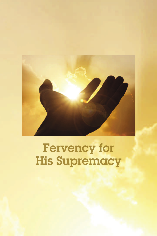

# **Fervency for His Supremacy**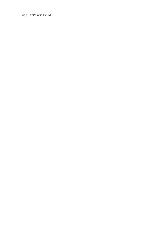*CHRIST IS NOW!*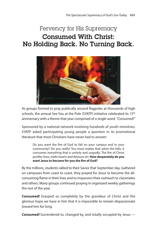## Fervency for His Supremacy **Consumed With Christ: No Holding Back. No Turning Back.**



As groups formed to pray publically around flagpoles at thousands of high schools, the annual See You at the Pole (SYATP) initiative celebrated its 15<sup>th</sup> anniversary with a theme that year comprised of a single word: "Consumed!"

Sponsored by a national network involving hundreds of youth ministries, SYATP asked participating young people a question in its promotional literature that most Christians have never had to answer:

Do you want the fire of God to fall on your campus and in your community? Do you really? You must realize that when fire falls, it consumes everything that is unholy and ungodly. The fire of Christ purifieslives, melts hearts and devourssin. **How desperately do you want Jesus to become for you the fire of God?**

By the millions, students rallied to their Savior that September day. Gathered on campuses from coast to coast, they prayed for Jesus to become the allconsuming flame in their lives and to impassion their outreach to classmates and others. Many groups continued praying in organized weekly gatherings the rest of the year.

*Consumed!* Grasped so completely by the grandeur of Christ and the glorious hope we have in him that it is impossible to remain dispassionate toward him for long.

*Consumed!* Surrendered to, changed by, and totally occupied by Jesus —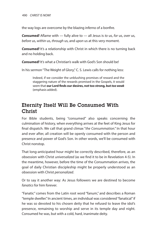the way logs are overcome by the blazing inferno of a bonfire.

**Consumed!** Aflame with — fully alive to — all Jesus is to us, for us, over us, before us, within us, through us, and upon us at this very moment.

**Consumed!** It's a relationship with Christ in which there is no turning back and no holding back.

*Consumed!* It's what a Christian's walk with God's Son should be!

In his sermon"The Weight of Glory," C. S. Lewis calls for nothing less:

Indeed, if we consider the unblushing promises of reward and the staggering nature of the rewards promised in the Gospels, it would seem that **our Lord finds our desires, nottoo strong, but***too weak* (emphasis added).

#### **Eternity Itself Will Be Consumed With Christ**

For Bible students, being "consumed" also speaks concerning the culmination of history, when everything arrives at the feet of King Jesus for final dispatch. We call that grand climax "the Consummation." In that hour and ever after, all creation will be openly consumed with the person and presence and power of God's Son. In other words, we'll be consumed with Christ nonstop.

That long-anticipated hour might be correctly described, therefore, as an obsession with Christ universalized (as we find it to be in Revelation 4-5). In the meantime, however, before the time of the Consummation arrives, the goal of daily Christian discipleship might be properly understood as an obsession with Christ personalized.

Or to say it another way: As Jesus followers we are destined to become fanatics for him forever.

"Fanatic" comes from the Latin root word "fanum," and describes a Roman "temple dweller."In ancient times, an individual was considered"fanatical"if he was so devoted to his chosen deity that he refused to leave the idol's presence, remaining to worship and serve in its temple day and night. Consumed he was, but with a cold, hard, inanimate deity.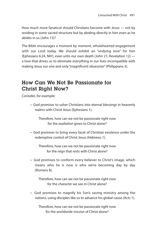How much more fanatical should Christians become with Jesus — not by residing in some sacred structure but by abiding directly in him even as he abides in us (John 15)?

The Bible encourages a moment by moment, wholehearted engagement with our Lord today. We should exhibit an "undying love" for him (Ephesians 6:24, NIV), even unto our own death (John 21; Revelation 12) a love that drives us to eliminate everything in our lives incompatible with making Jesus our one and only "magnificent obsession"(Philippians 3).

#### **How Can We Not Be Passionate for Christ Right Now?**

Consider, for example:

• God promises to usher Christians into eternal blessings in heavenly realms with Christ Jesus (Ephesians 1).

Therefore, how can we not be passionate right now for the exaltation given to Christ alone?

• God promises to bring every facet of Christian existence under the redemptive control of Christ Jesus (Hebrews 1).

Therefore, how can we not be passionate right now for the reign that rests with Christ alone?

• God promises to conform every believer to Christ's image, which means who he is now is who we're becoming day by day (Romans 8).

Therefore, how can we not be passionate right now for the character we see in Christ alone?

• God promises to magnify his Son's saving ministry among the nations, using disciples like us to advance his global cause (Acts 1).

Therefore, how can we not be passionate right now for the worldwide mission of Christ alone?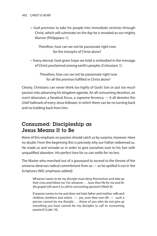• God promises to take his people into immediate victories through Christ, which will culminate on the day he is revealed as our mighty Warrior (Philippians 1).

Therefore, how can we not be passionate right now for the triumphs of Christ alone?

• Every eternal, God-given hope we hold is embodied in the message of Christ proclaimed among earth's peoples (Colossians 1).

Therefore, how can we not be passionate right now for all the *promises* fulfilled in Christ alone?

Clearly, Christians can never think too highly of God's Son or put too much passion into advancing his kingdom agenda. An all-consuming devotion, an overt obsession, a fanatical focus, a supreme fervency — it all denotes the chief hallmark of every Jesus follower, in which there can be no turning back and no holding back from him.

#### **Consumed: Discipleship as Jesus Means It to Be**

None of this emphasis on passion should catch us by surprise, however. Have no doubt: From the beginning this is precisely why our Father redeemed us. He made us and remade us in order to give ourselves over to his Son with unqualified abandon. His perfect love for us can settle for no less.

The Master who marched out of a graveyard to ascend to the throne of the universe deserves radical commitment from us — as he spelled it out in the Scriptures (NIV, emphases added):

Whoever wants to be my disciple must deny themselves and take up their cross and follow me. For whoever  $\ldots$  loses their life for me and for the gospel will save it [a call to consuming passion!] (Mark 8).

If anyone comes to me and does not hate father and mother, wife and children, brothers and sisters  $-$  yes, even their own life  $-$  such a person cannot be my disciple . . . those of you who do not *give up* everything you have cannot be my disciples [a call to consuming passion!] (Luke 14).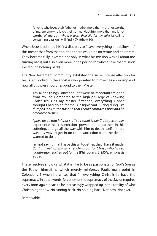Anyone who loves their father or mother more than me is not worthy of me; anyone who loves their son nor daughter more than me is not worthy of me . . . whoever loses their life for my sake [a call to consuming passion!] will find it (Matthew 10).

When Jesus beckoned his first disciples to "leave everything and follow me" this meant that from that point on there would be no return and no retreat. They became fully invested not only in what his mission was all about (no turning back) but also even more in the person for whose sake that mission existed (no holding back).

The New Testament community exhibited the same intense affection for Jesus, embodied in the apostle who pointed to himself as an example of how all disciples should respond to their Master:

Yes, all the things I once thought were so important are gone from my life. Compared to the high privilege of knowing Christ Jesus as my Master, firsthand, everything I once thought I had going for me is insignificant — dog dung. I've dumped it all in the trash so that I could embrace Christ and be embraced by him . . .

I gave up all that inferior stuff so I could know Christ personally, experience his resurrection power, be a partner in his suffering, and go all the way with him to death itself. If there was any way to get in on the resurrection from the dead, I wanted to do it.

I'm not saying that I have this all together, that I have it made. But I am well on my way, reaching out for Christ, who has so wondrously reached out for me (Philippians 3, MSG, emphasis added).

These resolves show us what it is like to be as passionate for God's Son as the Father himself is, which merely reinforces Paul's main point in Colossians 1 when he writes that "in everything Christ is to have the supremacy."In other words, fervency for the supremacy of the Savior requires every born-again heart to be increasingly wrapped up in the totality of who Christ is right now. No turning back. No holding back. Not now. Not ever.

Remarkable!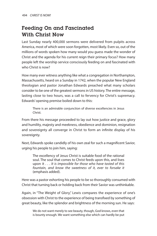### **Feeding On and Fascinated With Christ Now**

Last Sunday nearly 400,000 sermons were delivered from pulpits across America, most of which were soon forgotten, most likely. Even so, out of the millions of words spoken how many would you guess made the wonder of Christ and the agenda for his current reign their primary focus? How many people left the worship service consciously feeding on and fascinated with who Christ is now?

How many ever witness anything like what a congregation in Northampton, Massachusetts, heard on a Sunday in 1742, when the popular New England theologian and pastor Jonathan Edwards preached what many scholars consider to be one of the greatest sermons in US history. The entire message, lasting close to two hours, was a call to fervency for Christ's supremacy. Edwards'opening premise boiled down to this:

There is an admirable conjunction of diverse excellencies in Jesus Christ.

From there his message proceeded to lay out how justice and grace, glory and humility, majesty and meekness, obedience and dominion, resignation and sovereignty all converge in Christ to form an infinite display of his sovereignty.

Next, Edwards spoke candidly of his own zeal for such a magnificent Savior, urging his people to join him, saying:

The excellency of Jesus Christ is suitable food of the rational soul. The soul that comes to Christ feeds upon this, and lives upon it . . . It is impossible for those who have tasted of this fountain, and know the sweetness of it, ever to forsake it (emphasis added).

Here was a pastor exhorting his people to be so thoroughly consumed with Christ that turning back or holding back from their Savior was unthinkable.

Again, in "The Weight of Glory," Lewis compares the experience of one's obsession with Christ to the experience of being transfixed by something of great beauty, like the splendor and brightness of the morning sun. He says:

We do not want merely to see beauty, though, God knows, even that is bounty enough. We want something else which can hardly be put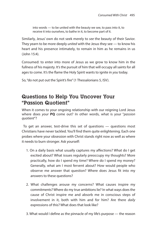into words — to be united with the beauty we see, to pass into it, to receive it into ourselves, to bathe in it, to become part of it.

Similarly, Jesus' own do not seek merely to see the beauty of their Savior. They yearn to be more deeply united with the Jesus they see — to know his heart and his presence intimately, to remain in him as he remains in us (John 15:4).

Consumed: to enter into more of Jesus as we grow to know him in the fullness of his majesty. It's the pursuit of him that will occupy all saints for all ages to come. It's the flame the Holy Spirit wants to ignite in you today.

So,"do not put out the Spirit's fire"(1 Thessalonians 5, ISV).

#### **Questions to Help You Uncover Your "Passion Quotient"**

When it comes to your ongoing relationship with our reigning Lord Jesus where does your **PQ** come out? In other words, what is your "passion quotient"?

To get an answer, test-drive this set of questions  $-$  questions most Christians have never tackled. You'll find them quite enlightening. Each one probes where your obsession with Christ stands right now as well as where it needs to burn stronger. Ask yourself:

- 1. On a daily basis what usually captures my affections? What do I get excited about? What issues regularly preoccupy my thoughts? More practically, how do I spend my time? Where do I spend my money? Generally, what am I most fervent about? How would people who observe me answer that question? Where does Jesus fit into my answers to these questions?
- 2. What challenges arouse my concerns? What causes inspire my commitments? Where do my true ambitions lie? In what ways does the cause of Christ inspire me and absorb me in conscious steps of involvement in it, both with him and for him? Are there daily expressions of this? What does that look like?
- 3. What would I define as the pinnacle of my life's purpose the reason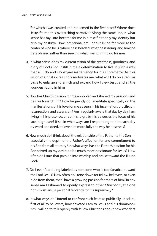for which I was created and redeemed in the first place? Where does Jesus fit into this overarching narrative? Along the same line, in what sense has my Lord become for me in himself not only my identity but also my destiny? How intentional am I about living far more at the center of who he is, where he is headed, what he is doing, and how he gets blessed rather than seeking what I want him to do for me?

- 4. In what sense does my current vision of the greatness, goodness, and glory of God's Son instill in me a determination to live in such a way that all I do and say expresses fervency for his supremacy? As this vision of Christ increasingly motivates me, what will I do on a regular basis to enlarge and enrich and expand how I view Jesus and all the wonders found in him?
- 5. How has Christ's passion for me ennobled and shaped my passions and desires toward him? How frequently do I meditate specifically on the manifestations of his love for me as seen in his incarnation, crucifixion, resurrection, and ascension? Am I regularly aware that day by day I am living in his presence, under his reign, by his power, as the focus of his sovereign care? If so, in what ways am I responding to him each day by word and deed, to love him more fully the way he deserves?
- 6. How much do I think about the relationship of the Father to the Son especially the depth of the Father's affection for and commitment to his Son from all eternity? In what ways has the Father's passion for his Son stirred up my desire to be much more passionate for Jesus? How often do I turn that passion into worship and praise toward the Triune God?
- 7. Do I ever fear being labeled as someone who is too fanatical toward the Lord Jesus? How often do I tone down for fellow believers, or even hide from them, that I have a growing passion for more of him? In any sense am I ashamed to openly express to other Christians (let alone non-Christians) a personal fervency for his supremacy?
- 8. In what ways do I intend to confront such fears as publically I declare, first of all to believers, how devoted I am to Jesus and his dominion? Am I willing to talk openly with fellow Christians about new wonders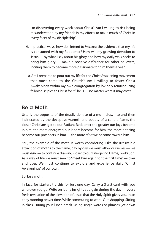I'm discovering every week about Christ? Am I willing to risk being misunderstood by my friends in my efforts to make much of Christ in every facet of my discipleship?

- 9. In practical ways, how do I intend to *increase* the evidence that my life is consumed with my Redeemer? How will my growing devotion to Jesus — by what I say about his glory and how my daily walk seeks to bring him glory — make a positive difference for other believers, inciting them to become more passionate for him themselves?
- 10. Am I prepared to pour out my life for the Christ Awakening movement that must come to the Church? Am I willing to foster Christ Awakenings within my own congregation by lovingly reintroducing fellow disciples to Christ for all he is - no matter what it may cost?

#### **Be a Moth**

Utterly the opposite of the deadly demise of a moth drawn to and then incinerated by the deceptive warmth and beauty of a candle flame, the closer Christians get to our Radiant Redeemer the greater our joys become in him, the more energized our labors become for him, the more enticing become our prospects in him — the more alive we become toward him.

Still, the example of the moth is worth considering. Like the irresistible attraction of moths to the flame, day by day we must allow ourselves — we must dare — to continue drawing closer to our Life-giving Flame, God's Son. As a way of life we must seek to "meet him again for the first time" — over and over. We must continue to explore and experience daily "Christ Awakenings"of our own.

So, be a moth.

In fact, for starters try this for just one day. Carry a 3 x 5 card with you wherever you go. Write on it any insights you gain during the day — every fresh revelation of the elevation of Jesus that the Holy Spirit gives you. In an early morning prayer time. While commuting to work. Out shopping. Sitting in class. During your lunch break. Using single words or phrases, jot down